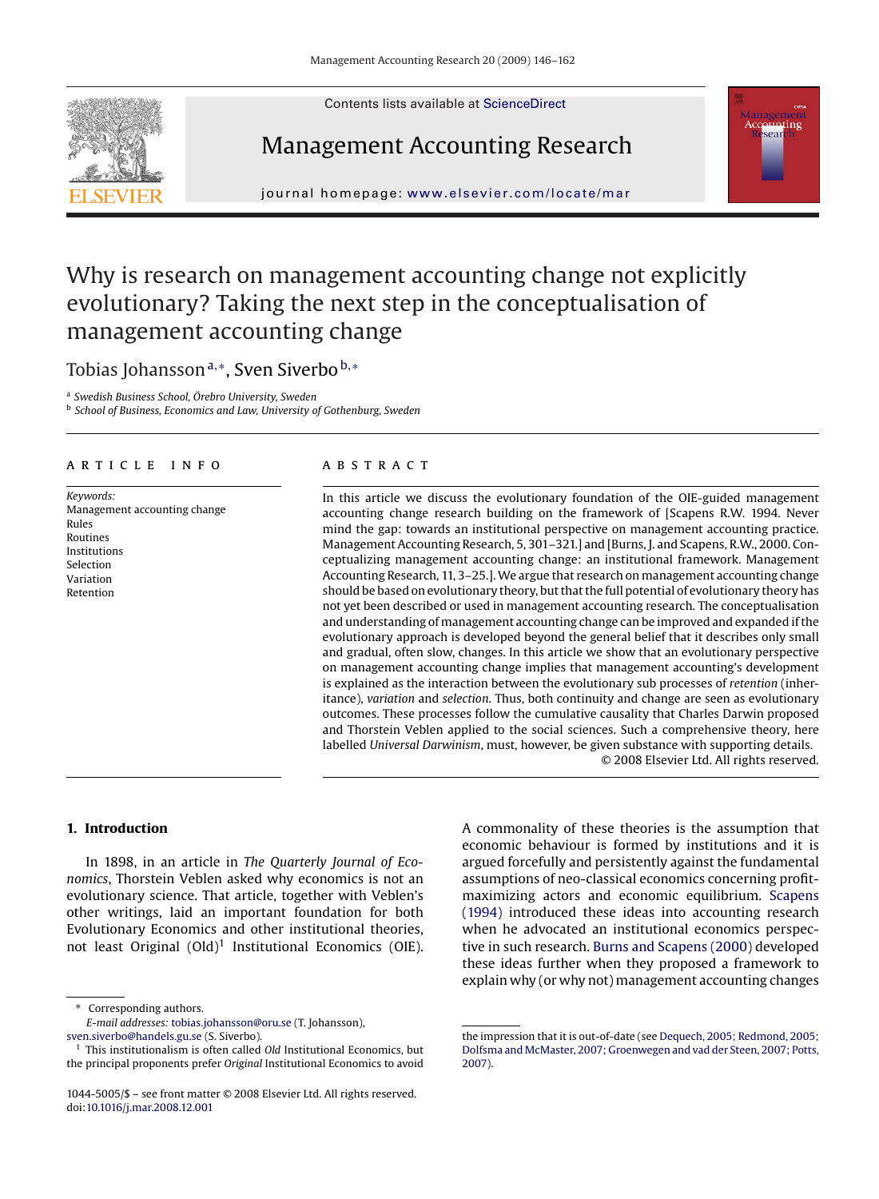Contents lists available at [ScienceDirect](http://www.sciencedirect.com/science/journal/10445005)

# Management Accounting Research



# Why is research on management accounting change not explicitly evolutionary? Taking the next step in the conceptualisation of management accounting change

Tobias Johansson<sup>a,∗</sup>, Sven Siverbo<sup>b,</sup>\*

<sup>a</sup> *Swedish Business School, Örebro University, Sweden*

<sup>b</sup> *School of Business, Economics and Law, University of Gothenburg, Sweden*

#### article info

*Keywords:* Management accounting change Rules Routines Institutions Selection Variation Retention

## **ABSTRACT**

In this article we discuss the evolutionary foundation of the OIE-guided management accounting change research building on the framework of [Scapens R.W. 1994. Never mind the gap: towards an institutional perspective on management accounting practice. Management Accounting Research, 5, 301–321.] and [Burns, J. and Scapens, R.W., 2000. Conceptualizing management accounting change: an institutional framework. Management Accounting Research, 11, 3–25.]. We argue that research on management accounting change should be based on evolutionary theory, but that the full potential of evolutionary theory has not yet been described or used in management accounting research. The conceptualisation and understanding of management accounting change can be improved and expanded if the evolutionary approach is developed beyond the general belief that it describes only small and gradual, often slow, changes. In this article we show that an evolutionary perspective on management accounting change implies that management accounting's development is explained as the interaction between the evolutionary sub processes of *retention* (inheritance), *variation* and *selection*. Thus, both continuity and change are seen as evolutionary outcomes. These processes follow the cumulative causality that Charles Darwin proposed and Thorstein Veblen applied to the social sciences. Such a comprehensive theory, here labelled *Universal Darwinism*, must, however, be given substance with supporting details. © 2008 Elsevier Ltd. All rights reserved.

### **1. Introduction**

In 1898, in an article in *The Quarterly Journal of Economics*, Thorstein Veblen asked why economics is not an evolutionary science. That article, together with Veblen's other writings, laid an important foundation for both Evolutionary Economics and other institutional theories, not least Original  $(Old)^1$  Institutional Economics (OIE).

Corresponding authors.

A commonality of these theories is the assumption that economic behaviour is formed by institutions and it is argued forcefully and persistently against the fundamental assumptions of neo-classical economics concerning profitmaximizing actors and economic equilibrium. [Scapens](#page--1-0) [\(1994\)](#page--1-0) introduced these ideas into accounting research when he advocated an institutional economics perspective in such research. [Burns and Scapens \(2000\)](#page--1-0) developed these ideas further when they proposed a framework to explain why (or why not) management accounting changes





*E-mail addresses:* [tobias.johansson@oru.se](mailto:tobias.johansson@oru.se) (T. Johansson), [sven.siverbo@handels.gu.se](mailto:sven.siverbo@handels.gu.se) (S. Siverbo).

<sup>1</sup> This institutionalism is often called *Old* Institutional Economics, but the principal proponents prefer *Original* Institutional Economics to avoid

<sup>1044-5005/\$ –</sup> see front matter © 2008 Elsevier Ltd. All rights reserved. doi[:10.1016/j.mar.2008.12.001](dx.doi.org/10.1016/j.mar.2008.12.001)

the impression that it is out-of-date (see [Dequech, 2005; Redmond, 2005;](#page--1-0) [Dolfsma and McMaster, 2007; Groenwegen and vad der Steen, 2007; Potts,](#page--1-0) [2007\).](#page--1-0)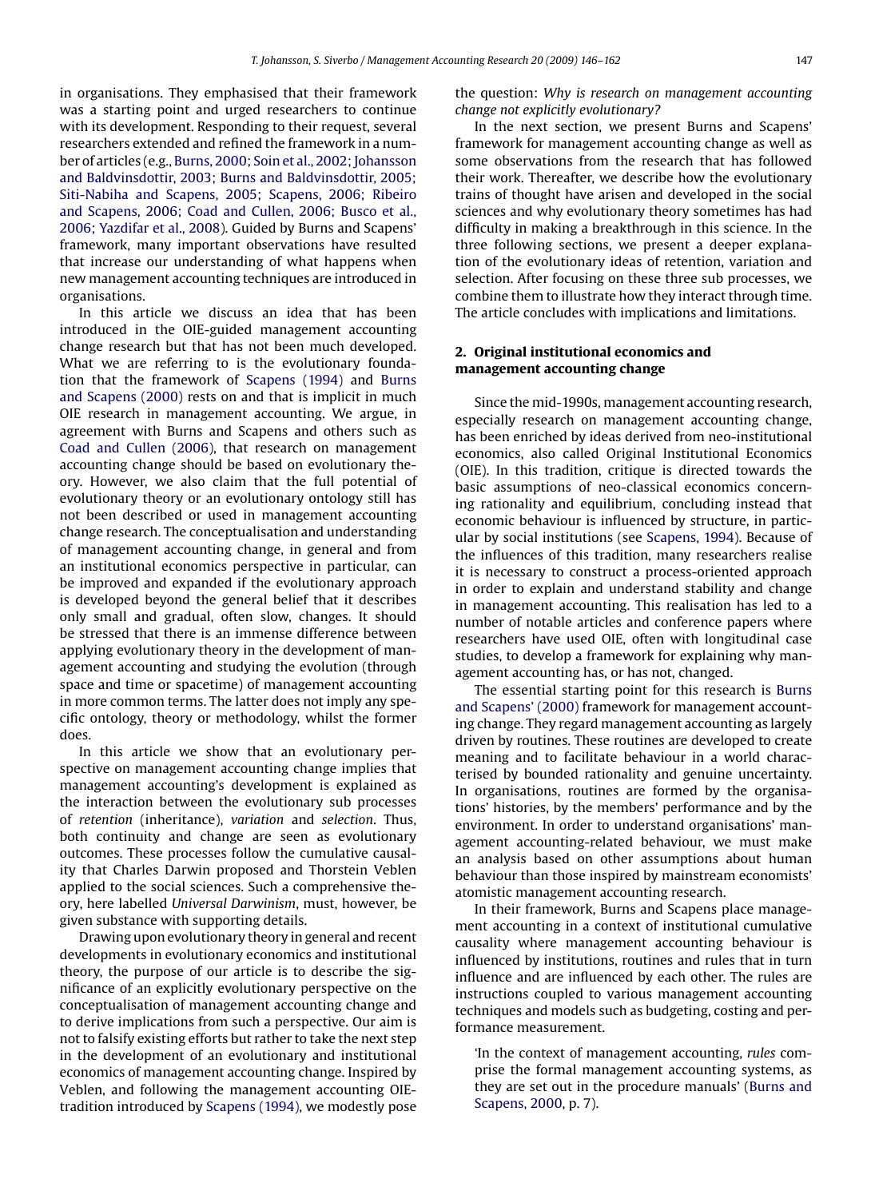in organisations. They emphasised that their framework was a starting point and urged researchers to continue with its development. Responding to their request, several researchers extended and refined the framework in a number of articles (e.g., [Burns, 2000; Soin et al., 2002; Johansson](#page--1-0) [and Baldvinsdottir, 2003; Burns and Baldvinsdottir, 2005;](#page--1-0) [Siti-Nabiha and Scapens, 2005; Scapens, 2006; Ribeiro](#page--1-0) [and Scapens, 2006; Coad and Cullen, 2006; Busco et al.,](#page--1-0) [2006; Yazdifar et al., 2008\).](#page--1-0) Guided by Burns and Scapens' framework, many important observations have resulted that increase our understanding of what happens when new management accounting techniques are introduced in organisations.

In this article we discuss an idea that has been introduced in the OIE-guided management accounting change research but that has not been much developed. What we are referring to is the evolutionary foundation that the framework of [Scapens \(1994\)](#page--1-0) and [Burns](#page--1-0) [and Scapens \(2000\)](#page--1-0) rests on and that is implicit in much OIE research in management accounting. We argue, in agreement with Burns and Scapens and others such as [Coad and Cullen \(2006\),](#page--1-0) that research on management accounting change should be based on evolutionary theory. However, we also claim that the full potential of evolutionary theory or an evolutionary ontology still has not been described or used in management accounting change research. The conceptualisation and understanding of management accounting change, in general and from an institutional economics perspective in particular, can be improved and expanded if the evolutionary approach is developed beyond the general belief that it describes only small and gradual, often slow, changes. It should be stressed that there is an immense difference between applying evolutionary theory in the development of management accounting and studying the evolution (through space and time or spacetime) of management accounting in more common terms. The latter does not imply any specific ontology, theory or methodology, whilst the former does.

In this article we show that an evolutionary perspective on management accounting change implies that management accounting's development is explained as the interaction between the evolutionary sub processes of *retention* (inheritance), *variation* and *selection*. Thus, both continuity and change are seen as evolutionary outcomes. These processes follow the cumulative causality that Charles Darwin proposed and Thorstein Veblen applied to the social sciences. Such a comprehensive theory, here labelled *Universal Darwinism*, must, however, be given substance with supporting details.

Drawing upon evolutionary theory in general and recent developments in evolutionary economics and institutional theory, the purpose of our article is to describe the significance of an explicitly evolutionary perspective on the conceptualisation of management accounting change and to derive implications from such a perspective. Our aim is not to falsify existing efforts but rather to take the next step in the development of an evolutionary and institutional economics of management accounting change. Inspired by Veblen, and following the management accounting OIEtradition introduced by [Scapens \(1994\), w](#page--1-0)e modestly pose the question: *Why is research on management accounting change not explicitly evolutionary?*

In the next section, we present Burns and Scapens' framework for management accounting change as well as some observations from the research that has followed their work. Thereafter, we describe how the evolutionary trains of thought have arisen and developed in the social sciences and why evolutionary theory sometimes has had difficulty in making a breakthrough in this science. In the three following sections, we present a deeper explanation of the evolutionary ideas of retention, variation and selection. After focusing on these three sub processes, we combine them to illustrate how they interact through time. The article concludes with implications and limitations.

### **2. Original institutional economics and management accounting change**

Since the mid-1990s, management accounting research, especially research on management accounting change, has been enriched by ideas derived from neo-institutional economics, also called Original Institutional Economics (OIE). In this tradition, critique is directed towards the basic assumptions of neo-classical economics concerning rationality and equilibrium, concluding instead that economic behaviour is influenced by structure, in particular by social institutions (see [Scapens, 1994\).](#page--1-0) Because of the influences of this tradition, many researchers realise it is necessary to construct a process-oriented approach in order to explain and understand stability and change in management accounting. This realisation has led to a number of notable articles and conference papers where researchers have used OIE, often with longitudinal case studies, to develop a framework for explaining why management accounting has, or has not, changed.

The essential starting point for this research is [Burns](#page--1-0) [and Scapens' \(2000\)](#page--1-0) framework for management accounting change. They regard management accounting as largely driven by routines. These routines are developed to create meaning and to facilitate behaviour in a world characterised by bounded rationality and genuine uncertainty. In organisations, routines are formed by the organisations' histories, by the members' performance and by the environment. In order to understand organisations' management accounting-related behaviour, we must make an analysis based on other assumptions about human behaviour than those inspired by mainstream economists' atomistic management accounting research.

In their framework, Burns and Scapens place management accounting in a context of institutional cumulative causality where management accounting behaviour is influenced by institutions, routines and rules that in turn influence and are influenced by each other. The rules are instructions coupled to various management accounting techniques and models such as budgeting, costing and performance measurement.

'In the context of management accounting, *rules* comprise the formal management accounting systems, as they are set out in the procedure manuals' [\(Burns and](#page--1-0) [Scapens, 2000, p](#page--1-0). 7).